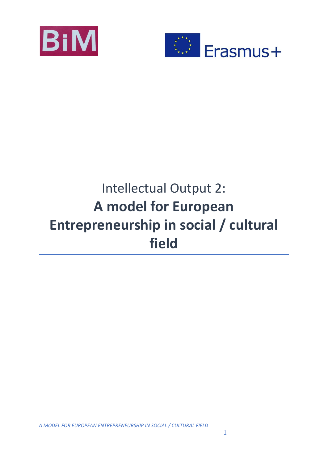



# Intellectual Output 2: **A model for European Entrepreneurship in social / cultural field**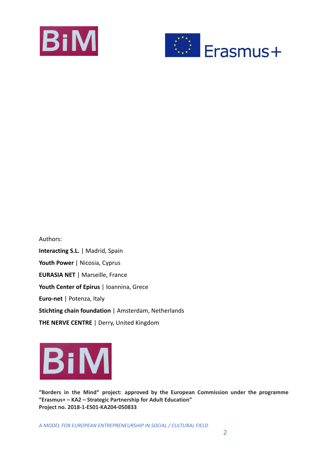



#### Authors:

**Interacting S.L.** | Madrid, Spain Youth Power | Nicosia, Cyprus **EURASIA NET** | Marseille, France Youth Center of Epirus | Ioannina, Grece **Euro-net** | Potenza, Italy **Stichting chain foundation** | Amsterdam, Netherlands **THE NERVE CENTRE** | Derry, United Kingdom



**"Borders in the Mind" project: approved by the European Commission under the programme "Erasmus+ – KA2 – Strategic Partnership for Adult Education" Project no. 2018-1-ES01-KA204-050833**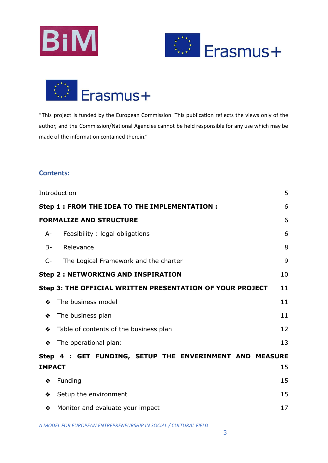





"This project is funded by the European Commission. This publication reflects the views only of the author, and the Commission/National Agencies cannot be held responsible for any use which may be made of the information contained therein."

#### **Contents:**

| Introduction                   |                                                           |    |
|--------------------------------|-----------------------------------------------------------|----|
|                                | Step 1 : FROM THE IDEA TO THE IMPLEMENTATION :            | 6  |
| <b>FORMALIZE AND STRUCTURE</b> |                                                           |    |
| A-                             | Feasibility: legal obligations                            | 6  |
| $B -$                          | Relevance                                                 | 8  |
| $C-$                           | The Logical Framework and the charter                     | 9  |
|                                | <b>Step 2: NETWORKING AND INSPIRATION</b>                 | 10 |
|                                | Step 3: THE OFFICIAL WRITTEN PRESENTATION OF YOUR PROJECT | 11 |
| ❖                              | The business model                                        | 11 |
| ❖                              | The business plan                                         | 11 |
| ❖                              | Table of contents of the business plan                    | 12 |
| ❖                              | The operational plan:                                     | 13 |
|                                | Step 4 : GET FUNDING, SETUP THE ENVERINMENT AND MEASURE   |    |
| <b>IMPACT</b>                  |                                                           | 15 |
| ❖                              | Funding                                                   | 15 |
| ❖                              | Setup the environment                                     | 15 |
| ❖                              | Monitor and evaluate your impact                          | 17 |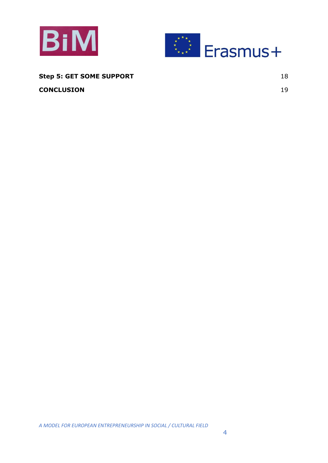



#### **Step 5: GET SOME [SUPPORT](#page-19-0)** 18

**[CONCLUSION](#page-20-0)** 19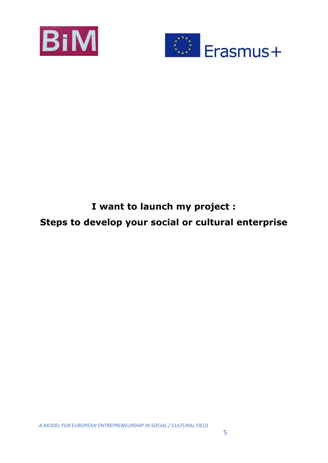



## **I want to launch my project : Steps to develop your social or cultural enterprise**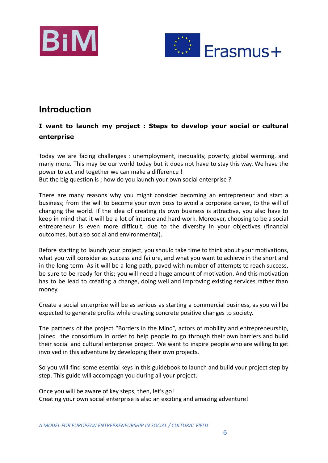



## <span id="page-5-0"></span>Introduction

## **I want to launch my project : Steps to develop your social or cultural enterprise**

Today we are facing challenges : unemployment, inequality, poverty, global warming, and many more. This may be our world today but it does not have to stay this way. We have the power to act and together we can make a difference !

But the big question is ; how do you launch your own social enterprise ?

There are many reasons why you might consider becoming an entrepreneur and start a business; from the will to become your own boss to avoid a corporate career, to the will of changing the world. If the idea of creating its own business is attractive, you also have to keep in mind that it will be a lot of intense and hard work. Moreover, choosing to be a social entrepreneur is even more difficult, due to the diversity in your objectives (financial outcomes, but also social and environmental).

Before starting to launch your project, you should take time to think about your motivations, what you will consider as success and failure, and what you want to achieve in the short and in the long term. As it will be a long path, paved with number of attempts to reach success, be sure to be ready for this; you will need a huge amount of motivation. And this motivation has to be lead to creating a change, doing well and improving existing services rather than money.

Create a social enterprise will be as serious as starting a commercial business, as you will be expected to generate profits while creating concrete positive changes to society.

The partners of the project "Borders in the Mind", actors of mobility and entrepreneurship, joined the consortium in order to help people to go through their own barriers and build their social and cultural enterprise project. We want to inspire people who are willing to get involved in this adventure by developing their own projects.

So you will find some esential keys in this guidebook to launch and build your project step by step. This guide will accompagn you during all your project.

Once you will be aware of key steps, then, let's go! Creating your own social enterprise is also an exciting and amazing adventure!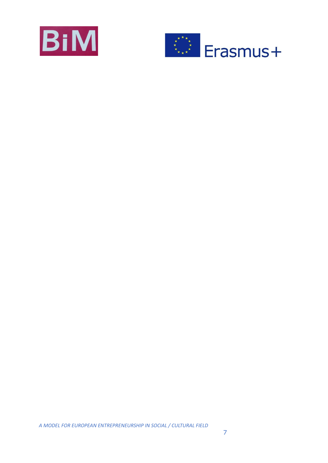

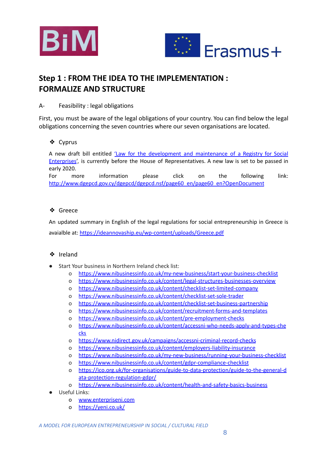



## <span id="page-7-1"></span><span id="page-7-0"></span>**Step 1 : FROM THE IDEA TO THE IMPLEMENTATION : FORMALIZE AND STRUCTURE**

#### <span id="page-7-2"></span>A- Feasibility : legal obligations

First, you must be aware of the legal obligations of your country. You can find below the legal obligations concerning the seven countries where our seven organisations are located.

❖ Cyprus

A new draft bill entitled 'Law for the [development](http://www.dgepcd.gov.cy/dgepcd/dgepcd.nsf/All/DF9FFC9C5ADDE521C2258464001F2F39) and maintenance of a Registry for Social [Enterprises'](http://www.dgepcd.gov.cy/dgepcd/dgepcd.nsf/All/DF9FFC9C5ADDE521C2258464001F2F39), is currently before the House of Representatives. A new law is set to be passed in early 2020.

For more information please click on the following link: [http://www.dgepcd.gov.cy/dgepcd/dgepcd.nsf/page60\\_en/page60\\_en?OpenDocument](http://www.dgepcd.gov.cy/dgepcd/dgepcd.nsf/page60_en/page60_en?OpenDocument)

#### ❖ Greece

An updated summary in English of the legal regulations for social entrepreneurship in Greece is avaialble at: <https://ideannovaship.eu/wp-content/uploads/Greece.pdf>

#### ❖ Ireland

- Start Your business in Northern Ireland check list:
	- o <https://www.nibusinessinfo.co.uk/my-new-business/start-your-business-checklist>
	- o <https://www.nibusinessinfo.co.uk/content/legal-structures-businesses-overview>
	- o <https://www.nibusinessinfo.co.uk/content/checklist-set-limited-company>
	- o <https://www.nibusinessinfo.co.uk/content/checklist-set-sole-trader>
	- o <https://www.nibusinessinfo.co.uk/content/checklist-set-business-partnership>
	- o <https://www.nibusinessinfo.co.uk/content/recruitment-forms-and-templates>
	- o <https://www.nibusinessinfo.co.uk/content/pre-employment-checks>
	- o [https://www.nibusinessinfo.co.uk/content/accessni-who-needs-apply-and-types-che](https://www.nibusinessinfo.co.uk/content/accessni-who-needs-apply-and-types-checks) [cks](https://www.nibusinessinfo.co.uk/content/accessni-who-needs-apply-and-types-checks)
	- o <https://www.nidirect.gov.uk/campaigns/accessni-criminal-record-checks>
	- o <https://www.nibusinessinfo.co.uk/content/employers-liability-insurance>
	- o <https://www.nibusinessinfo.co.uk/my-new-business/running-your-business-checklist>
	- o <https://www.nibusinessinfo.co.uk/content/gdpr-compliance-checklist>
	- o [https://ico.org.uk/for-organisations/guide-to-data-protection/guide-to-the-general-d](https://ico.org.uk/for-organisations/guide-to-data-protection/guide-to-the-general-data-protection-regulation-gdpr/) [ata-protection-regulation-gdpr/](https://ico.org.uk/for-organisations/guide-to-data-protection/guide-to-the-general-data-protection-regulation-gdpr/)
	- o <https://www.nibusinessinfo.co.uk/content/health-and-safety-basics-business>
- Useful Links:
	- o [www.enterpriseni.com](http://www.enterpriseni.com)
	- o <https://yeni.co.uk/>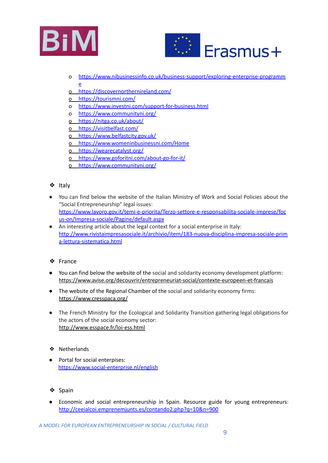



- o [https://www.nibusinessinfo.co.uk/business-support/exploring-enterprise-programm](https://www.nibusinessinfo.co.uk/business-support/exploring-enterprise-programme) [e](https://www.nibusinessinfo.co.uk/business-support/exploring-enterprise-programme)
- o <https://discovernorthernireland.com/>
- o <https://tourismni.com/>
- o <https://www.investni.com/support-for-business.html>
- o <https://www.communityni.org/>
- o <https://nitga.co.uk/about/>
- o <https://visitbelfast.com/>
- o <https://www.belfastcity.gov.uk/>
- o <https://www.womeninbusinessni.com/Home>
- o <https://wearecatalyst.org/>
- o <https://www.goforitni.com/about-go-for-it/>
- o <https://www.communityni.org/>

#### ❖ Italy

- You can find below the website of the Italian Ministry of Work and Social Policies about the "Social Entrepreneurship" legal issues: [https://www.lavoro.gov.it/temi-e-priorita/Terzo-settore-e-responsabilita-sociale-imprese/foc](https://www.lavoro.gov.it/temi-e-priorita/Terzo-settore-e-responsabilita-sociale-imprese/focus-on/Impresa-sociale/Pagine/default.aspx) [us-on/Impresa-sociale/Pagine/default.aspx](https://www.lavoro.gov.it/temi-e-priorita/Terzo-settore-e-responsabilita-sociale-imprese/focus-on/Impresa-sociale/Pagine/default.aspx)
- An interesting article about the legal context for a social enterprise in Italy: [http://www.rivistaimpresasociale.it/archivio/item/183-nuova-disciplina-impresa-sociale-prim](http://www.rivistaimpresasociale.it/archivio/item/183-nuova-disciplina-impresa-sociale-prima-lettura-sistematica.html) [a-lettura-sistematica.html](http://www.rivistaimpresasociale.it/archivio/item/183-nuova-disciplina-impresa-sociale-prima-lettura-sistematica.html)

#### ❖ France

- You can find below the website of the social and solidarity economy development platform: <https://www.avise.org/decouvrir/entrepreneuriat-social/contexte-europeen-et-francais>
- The website of the Regional Chamber of the social and solidarity economy firms: <https://www.cresspaca.org/>
- The French Ministry for the Ecological and Solidarity Transition gathering legal obligations for the actors of the social economy sector: <http://www.esspace.fr/loi-ess.html>
- ❖ Netherlands
- Portal for social enterpises: <https://www.social-enterprise.nl/english>
- ❖ Spain
- Economic and social entrepreneurship in Spain. Resource guide for young entrepreneurs: <http://ceeialcoi.emprenemjunts.es/contando2.php?q=10&n=900>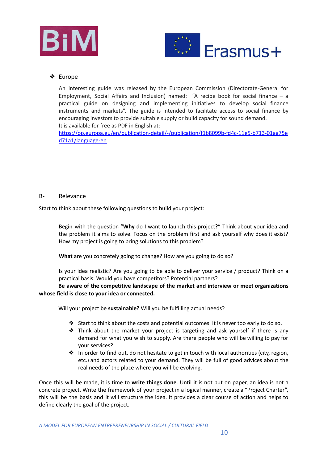



#### ❖ Europe

An interesting guide was released by the European Commission (Directorate-General for Employment, Social Affairs and Inclusion) named: "A recipe book for social finance  $-$  a practical guide on designing and implementing initiatives to develop social finance instruments and markets". The guide is intended to facilitate access to social finance by encouraging investors to provide suitable supply or build capacity for sound demand. It is available for free as PDF in English at:

[https://op.europa.eu/en/publication-detail/-/publication/f1b8099b-fd4c-11e5-b713-01aa75e](https://op.europa.eu/en/publication-detail/-/publication/f1b8099b-fd4c-11e5-b713-01aa75ed71a1/language-en) [d71a1/language-en](https://op.europa.eu/en/publication-detail/-/publication/f1b8099b-fd4c-11e5-b713-01aa75ed71a1/language-en)

#### <span id="page-9-0"></span>B- Relevance

Start to think about these following questions to build your project:

Begin with the question "**Why** do I want to launch this project?" Think about your idea and the problem it aims to solve. Focus on the problem first and ask yourself why does it exist? How my project is going to bring solutions to this problem?

**What** are you concretely going to change? How are you going to do so?

Is your idea realistic? Are you going to be able to deliver your service / product? Think on a practical basis: Would you have competitors? Potential partners?

#### **Be aware of the competitive landscape of the market and interview or meet organizations whose field is close to your idea or connected.**

Will your project be **sustainable?** Will you be fulfilling actual needs?

- ❖ Start to think about the costs and potential outcomes. It is never too early to do so.
- ❖ Think about the market your project is targeting and ask yourself if there is any demand for what you wish to supply. Are there people who will be willing to pay for your services?
- ❖ In order to find out, do not hesitate to get in touch with local authorities (city, region, etc.) and actors related to your demand. They will be full of good advices about the real needs of the place where you will be evolving.

Once this will be made, it is time to **write things done**. Until it is not put on paper, an idea is not a concrete project. Write the framework of your project in a logical manner, create a "Project Charter", this will be the basis and it will structure the idea. It provides a clear course of action and helps to define clearly the goal of the project.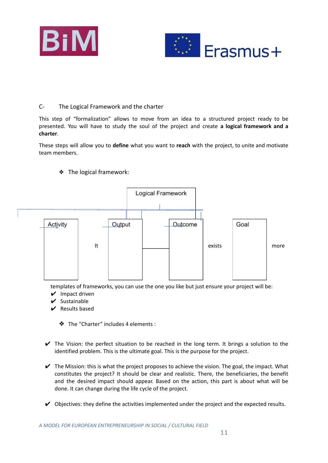



#### <span id="page-10-0"></span>C- The Logical Framework and the charter

This step of "formalization" allows to move from an idea to a structured project ready to be presented. You will have to study the soul of the project and create **a logical framework and a charter**.

These steps will allow you to **define** what you want to **reach** with the project, to unite and motivate team members.



❖ The logical framework:

templates of frameworks, you can use the one you like but just ensure your project will be:

- $\nu$  Impact driven
- $\boldsymbol{\nu}$  Sustainable
- $\vee$  Results based

❖ The "Charter" includes 4 elements :

- $\triangledown$  The Vision: the perfect situation to be reached in the long term. It brings a solution to the identified problem. This is the ultimate goal. This is the purpose for the project.
- $\triangledown$  The Mission: this is what the project proposes to achieve the vision. The goal, the impact. What constitutes the project? It should be clear and realistic. There, the beneficiaries, the benefit and the desired impact should appear. Based on the action, this part is about what will be done. It can change during the life cycle of the project.
- $\triangledown$  Objectives: they define the activities implemented under the project and the expected results.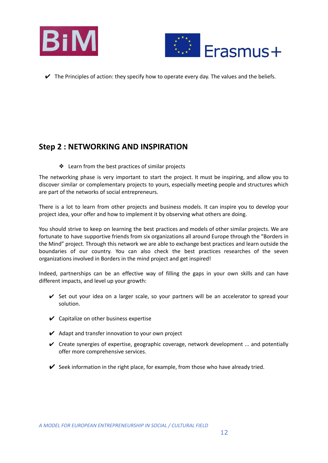



 $\triangledown$  The Principles of action: they specify how to operate every day. The values and the beliefs.

## <span id="page-11-0"></span>**Step 2 : NETWORKING AND INSPIRATION**

❖ Learn from the best practices of similar projects

The networking phase is very important to start the project. It must be inspiring, and allow you to discover similar or complementary projects to yours, especially meeting people and structures which are part of the networks of social entrepreneurs.

There is a lot to learn from other projects and business models. It can inspire you to develop your project idea, your offer and how to implement it by observing what others are doing.

You should strive to keep on learning the best practices and models of other similar projects. We are fortunate to have supportive friends from six organizations all around Europe through the "Borders in the Mind" project. Through this network we are able to exchange best practices and learn outside the boundaries of our country. You can also check the best practices researches of the seven organizations involved in Borders in the mind project and get inspired!

Indeed, partnerships can be an effective way of filling the gaps in your own skills and can have different impacts, and level up your growth:

- $\vee$  Set out your idea on a larger scale, so your partners will be an accelerator to spread your solution.
- $\vee$  Capitalize on other business expertise
- $\boldsymbol{\checkmark}$  Adapt and transfer innovation to your own project
- $\vee$  Create synergies of expertise, geographic coverage, network development ... and potentially offer more comprehensive services.
- $\checkmark$  Seek information in the right place, for example, from those who have already tried.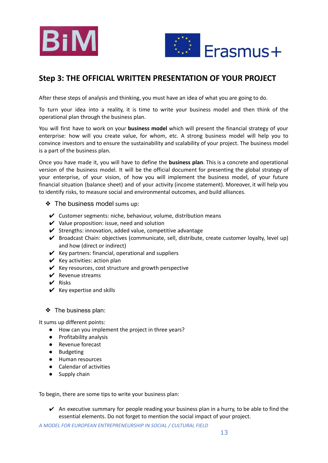



## <span id="page-12-0"></span>**Step 3: THE OFFICIAL WRITTEN PRESENTATION OF YOUR PROJECT**

After these steps of analysis and thinking, you must have an idea of what you are going to do.

To turn your idea into a reality, it is time to write your business model and then think of the operational plan through the business plan.

You will first have to work on your **business model** which will present the financial strategy of your enterprise: how will you create value, for whom, etc. A strong business model will help you to convince investors and to ensure the sustainability and scalability of your project. The business model is a part of the business plan.

Once you have made it, you will have to define the **business plan**. This is a concrete and operational version of the business model. It will be the official document for presenting the global strategy of your enterprise, of your vision, of how you will implement the business model, of your future financial situation (balance sheet) and of your activity (income statement). Moreover, it will help you to identify risks, to measure social and environmental outcomes, and build alliances.

- <span id="page-12-1"></span>❖ The business model sums up:
	- $\checkmark$  Customer segments: niche, behaviour, volume, distribution means
	- $\vee$  Value proposition: issue, need and solution
	- $\checkmark$  Strengths: innovation, added value, competitive advantage
	- ✔ Broadcast Chain: objectives (communicate, sell, distribute, create customer loyalty, level up) and how (direct or indirect)
	- $\vee$  Key partners: financial, operational and suppliers
	- $\vee$  Key activities: action plan
	- $\checkmark$  Key resources, cost structure and growth perspective
	- $\vee$  Revenue streams
	- $\mathbf{V}$  Risks
	- $\vee$  Key expertise and skills

<span id="page-12-2"></span>❖ The business plan:

It sums up different points:

- How can you implement the project in three years?
- Profitability analysis
- Revenue forecast
- Budgeting
- Human resources
- Calendar of activities
- Supply chain

To begin, there are some tips to write your business plan:

 $\vee$  An executive summary for people reading your business plan in a hurry, to be able to find the essential elements. Do not forget to mention the social impact of your project.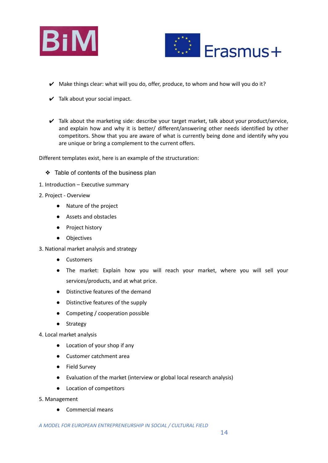



- $\vee$  Make things clear: what will you do, offer, produce, to whom and how will you do it?
- $\checkmark$  Talk about your social impact.
- $\checkmark$  Talk about the marketing side: describe your target market, talk about your product/service, and explain how and why it is better/ different/answering other needs identified by other competitors. Show that you are aware of what is currently being done and identify why you are unique or bring a complement to the current offers.

Different templates exist, here is an example of the structuration:

- <span id="page-13-0"></span>❖ Table of contents of the business plan
- 1. Introduction Executive summary
- 2. Project Overview
	- Nature of the project
	- Assets and obstacles
	- Project history
	- Objectives
- 3. National market analysis and strategy
	- Customers
	- The market: Explain how you will reach your market, where you will sell your services/products, and at what price.
	- Distinctive features of the demand
	- Distinctive features of the supply
	- Competing / cooperation possible
	- Strategy
- 4. Local market analysis
	- Location of your shop if any
	- Customer catchment area
	- Field Survey
	- Evaluation of the market (interview or global local research analysis)
	- Location of competitors
- 5. Management
	- Commercial means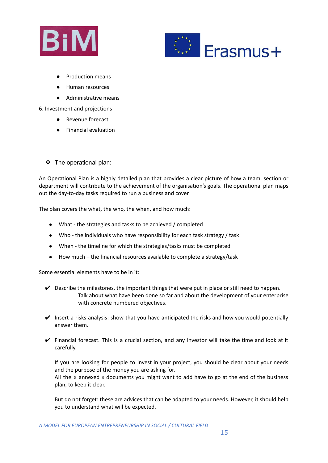



- **Production means**
- Human resources
- Administrative means

6. Investment and projections

- Revenue forecast
- **Financial evaluation**
- <span id="page-14-0"></span>❖ The operational plan:

An Operational Plan is a highly detailed plan that provides a clear picture of how a team, section or department will contribute to the achievement of the organisation's goals. The operational plan maps out the day-to-day tasks required to run a business and cover.

The plan covers the what, the who, the when, and how much:

- What the strategies and tasks to be achieved / completed
- Who the individuals who have responsibility for each task strategy / task
- When the timeline for which the strategies/tasks must be completed
- How much the financial resources available to complete a strategy/task

Some essential elements have to be in it:

- $\vee$  Describe the milestones, the important things that were put in place or still need to happen. Talk about what have been done so far and about the development of your enterprise with concrete numbered objectives.
- $\vee$  Insert a risks analysis: show that you have anticipated the risks and how you would potentially answer them.
- $\checkmark$  Financial forecast. This is a crucial section, and any investor will take the time and look at it carefully.

If you are looking for people to invest in your project, you should be clear about your needs and the purpose of the money you are asking for.

All the « annexed » documents you might want to add have to go at the end of the business plan, to keep it clear.

But do not forget: these are advices that can be adapted to your needs. However, it should help you to understand what will be expected.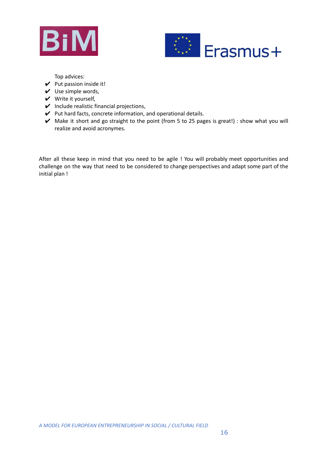



Top advices:

- $\vee$  Put passion inside it!
- $\vee$  Use simple words,
- $\vee$  Write it yourself,
- $\vee$  Include realistic financial projections,
- $\vee$  Put hard facts, concrete information, and operational details.
- $\vee$  Make it short and go straight to the point (from 5 to 25 pages is great!) : show what you will realize and avoid acronymes.

After all these keep in mind that you need to be agile ! You will probably meet opportunities and challenge on the way that need to be considered to change perspectives and adapt some part of the initial plan !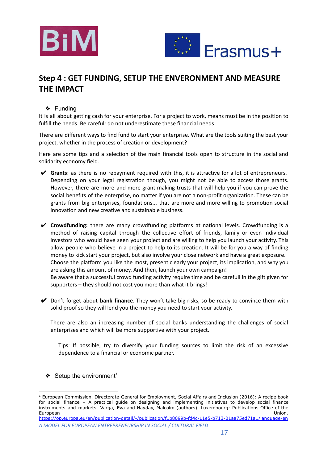



## <span id="page-16-0"></span>**Step 4 : GET FUNDING, SETUP THE ENVERONMENT AND MEASURE THE IMPACT**

#### <span id="page-16-1"></span>❖ Funding

It is all about getting cash for your enterprise. For a project to work, means must be in the position to fulfill the needs. Be careful: do not underestimate these financial needs.

There are different ways to find fund to start your enterprise. What are the tools suiting the best your project, whether in the process of creation or development?

Here are some tips and a selection of the main financial tools open to structure in the social and solidarity economy field.

- ✔ **Grants**: as there is no repayment required with this, it is attractive for a lot of entrepreneurs. Depending on your legal registration though, you might not be able to access those grants. However, there are more and more grant making trusts that will help you if you can prove the social benefits of the enterprise, no matter if you are not a non-profit organization. These can be grants from big enterprises, foundations... that are more and more willing to promotion social innovation and new creative and sustainable business.
- ✔ **Crowdfunding:** there are many crowdfunding platforms at national levels. Crowdfunding is a method of raising capital through the collective effort of friends, family or even individual investors who would have seen your project and are willing to help you launch your activity. This allow people who believe in a project to help to its creation. It will be for you a way of finding money to kick start your project, but also involve your close network and have a great exposure. Choose the platform you like the most, present clearly your project, its implication, and why you are asking this amount of money. And then, launch your own campaign! Be aware that a successful crowd funding activity require time and be carefull in the gift given for supporters – they should not cost you more than what it brings!
- ✔ Don't forget about **bank finance**. They won't take big risks, so be ready to convince them with solid proof so they will lend you the money you need to start your activity.

There are also an increasing number of social banks understanding the challenges of social enterprises and which will be more supportive with your project.

Tips: If possible, try to diversify your funding sources to limit the risk of an excessive dependence to a financial or economic partner.

<span id="page-16-2"></span> $\triangleleft$  Setup the environment<sup>1</sup>

<sup>&</sup>lt;sup>1</sup> European Commission, Directorate-General for Employment, Social Affairs and Inclusion (2016): A recipe book for social finance – A practical guide on designing and implementing initiatives to develop social finance instruments and markets. Varga, Eva and Hayday, Malcolm (authors). Luxembourg: Publications Office of the European Union.

<https://op.europa.eu/en/publication-detail/-/publication/f1b8099b-fd4c-11e5-b713-01aa75ed71a1/language-en> *A MODEL FOR EUROPEAN ENTREPRENEURSHIP IN SOCIAL / CULTURAL FIELD*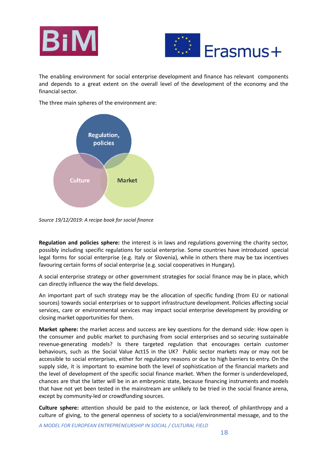



The enabling environment for social enterprise development and finance has relevant components and depends to a great extent on the overall level of the development of the economy and the financial sector.

The three main spheres of the environment are:



*Source 19/12/2019: A recipe book for social finance*

**Regulation and policies sphere:** the interest is in laws and regulations governing the charity sector, possibly including specific regulations for social enterprise. Some countries have introduced special legal forms for social enterprise (e.g. Italy or Slovenia), while in others there may be tax incentives favouring certain forms of social enterprise (e.g. social cooperatives in Hungary).

A social enterprise strategy or other government strategies for social finance may be in place, which can directly influence the way the field develops.

An important part of such strategy may be the allocation of specific funding (from EU or national sources) towards social enterprises or to support infrastructure development. Policies affecting social services, care or environmental services may impact social enterprise development by providing or closing market opportunities for them.

**Market sphere:** the market access and success are key questions for the demand side: How open is the consumer and public market to purchasing from social enterprises and so securing sustainable revenue-generating models? Is there targeted regulation that encourages certain customer behaviours, such as the Social Value Act15 in the UK? Public sector markets may or may not be accessible to social enterprises, either for regulatory reasons or due to high barriers to entry. On the supply side, it is important to examine both the level of sophistication of the financial markets and the level of development of the specific social finance market. When the former is underdeveloped, chances are that the latter will be in an embryonic state, because financing instruments and models that have not yet been tested in the mainstream are unlikely to be tried in the social finance arena, except by community-led or crowdfunding sources.

**Culture sphere:** attention should be paid to the existence, or lack thereof, of philanthropy and a culture of giving, to the general openness of society to a social/environmental message, and to the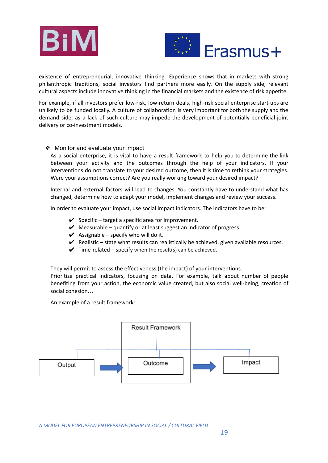



existence of entrepreneurial, innovative thinking. Experience shows that in markets with strong philanthropic traditions, social investors find partners more easily. On the supply side, relevant cultural aspects include innovative thinking in the financial markets and the existence of risk appetite.

For example, if all investors prefer low-risk, low-return deals, high-risk social enterprise start-ups are unlikely to be funded locally. A culture of collaboration is very important for both the supply and the demand side, as a lack of such culture may impede the development of potentially beneficial joint delivery or co-investment models.

#### <span id="page-18-0"></span>❖ Monitor and evaluate your impact

As a social enterprise, it is vital to have a result framework to help you to determine the link between your activity and the outcomes through the help of your indicators. If your interventions do not translate to your desired outcome, then it is time to rethink your strategies. Were your assumptions correct? Are you really working toward your desired impact?

Internal and external factors will lead to changes. You constantly have to understand what has changed, determine how to adapt your model, implement changes and review your success.

In order to evaluate your impact, use social impact indicators. The indicators have to be:

- $\checkmark$  Specific target a specific area for improvement.
- $\vee$  Measurable quantify or at least suggest an indicator of progress.
- $\checkmark$  Assignable specify who will do it.
- $\blacktriangleright$  Realistic state what results can realistically be achieved, given available resources.
- $\checkmark$  Time-related specify when the result(s) can be achieved.

They will permit to assess the effectiveness (the impact) of your interventions.

Prioritize practical indicators, focusing on data. For example, talk about number of people benefiting from your action, the economic value created, but also social well-being, creation of social cohesion…

An example of a result framework:

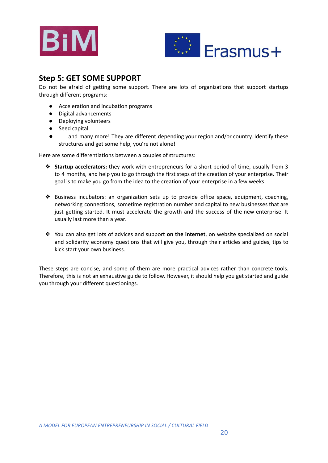



## <span id="page-19-0"></span>**Step 5: GET SOME SUPPORT**

Do not be afraid of getting some support. There are lots of organizations that support startups through different programs:

- Acceleration and incubation programs
- Digital advancements
- Deploying volunteers
- Seed capital
- … and many more! They are different depending your region and/or country. Identify these structures and get some help, you're not alone!

Here are some differentiations between a couples of structures:

- ❖ **Startup accelerators:** they work with entrepreneurs for a short period of time, usually from 3 to 4 months, and help you to go through the first steps of the creation of your enterprise. Their goal is to make you go from the idea to the creation of your enterprise in a few weeks.
- ❖ Business incubators: an organization sets up to provide office space, equipment, coaching, networking connections, sometime registration number and capital to new businesses that are just getting started. It must accelerate the growth and the success of the new enterprise. It usually last more than a year.
- ❖ You can also get lots of advices and support **on the internet**, on website specialized on social and solidarity economy questions that will give you, through their articles and guides, tips to kick start your own business.

These steps are concise, and some of them are more practical advices rather than concrete tools. Therefore, this is not an exhaustive guide to follow. However, it should help you get started and guide you through your different questionings.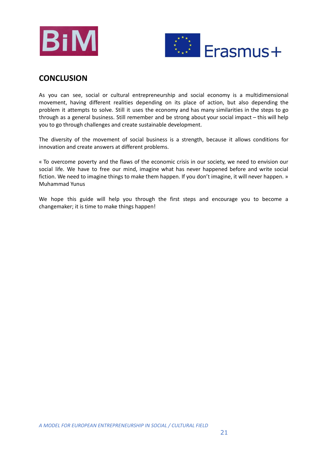



### <span id="page-20-0"></span>**CONCLUSION**

As you can see, social or cultural entrepreneurship and social economy is a multidimensional movement, having different realities depending on its place of action, but also depending the problem it attempts to solve. Still it uses the economy and has many similarities in the steps to go through as a general business. Still remember and be strong about your social impact – this will help you to go through challenges and create sustainable development.

The diversity of the movement of social business is a strength, because it allows conditions for innovation and create answers at different problems.

« To overcome poverty and the flaws of the economic crisis in our society, we need to envision our social life. We have to free our mind, imagine what has never happened before and write social fiction. We need to imagine things to make them happen. If you don't imagine, it will never happen. » Muhammad Yunus

We hope this guide will help you through the first steps and encourage you to become a changemaker; it is time to make things happen!